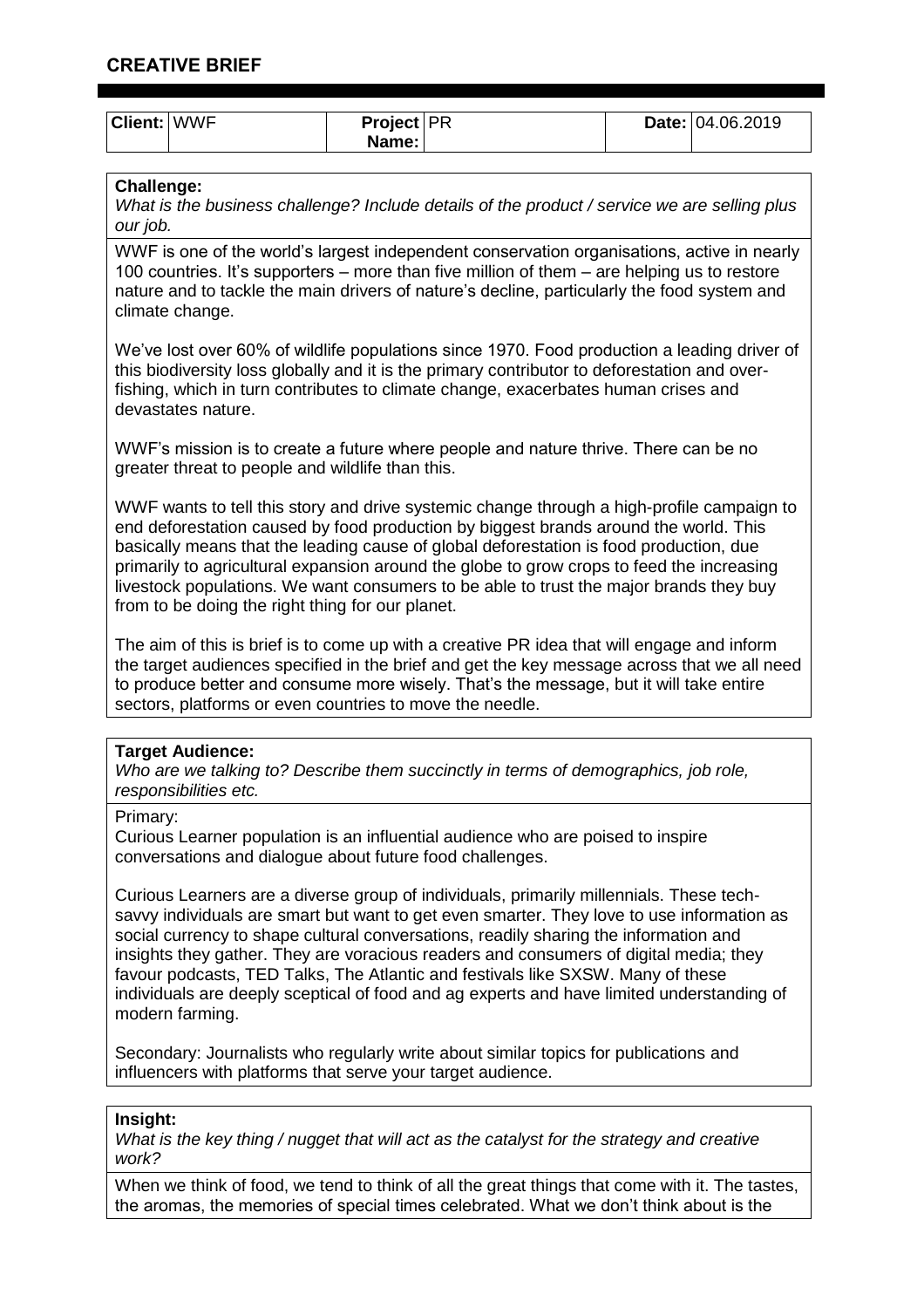| <b>Client: WWF</b> | <b>Project</b>   PR |  | Date: 04.06.2019 |
|--------------------|---------------------|--|------------------|
|                    | Name: I             |  |                  |

# **Challenge:**

*What is the business challenge? Include details of the product / service we are selling plus our job.*

WWF is one of the world's largest independent conservation organisations, active in nearly 100 countries. It's supporters – more than five million of them – are helping us to restore nature and to tackle the main drivers of nature's decline, particularly the food system and climate change.

We've lost over 60% of wildlife populations since 1970. Food production a leading driver of this biodiversity loss globally and it is the primary contributor to deforestation and overfishing, which in turn contributes to climate change, exacerbates human crises and devastates nature.

WWF's mission is to create a future where people and nature thrive. There can be no greater threat to people and wildlife than this.

WWF wants to tell this story and drive systemic change through a high-profile campaign to end deforestation caused by food production by biggest brands around the world. This basically means that the leading cause of global deforestation is food production, due primarily to agricultural expansion around the globe to grow crops to feed the increasing livestock populations. We want consumers to be able to trust the major brands they buy from to be doing the right thing for our planet.

The aim of this is brief is to come up with a creative PR idea that will engage and inform the target audiences specified in the brief and get the key message across that we all need to produce better and consume more wisely. That's the message, but it will take entire sectors, platforms or even countries to move the needle.

## **Target Audience:**

*Who are we talking to? Describe them succinctly in terms of demographics, job role, responsibilities etc.*

## Primary:

Curious Learner population is an influential audience who are poised to inspire conversations and dialogue about future food challenges.

Curious Learners are a diverse group of individuals, primarily millennials. These techsavvy individuals are smart but want to get even smarter. They love to use information as social currency to shape cultural conversations, readily sharing the information and insights they gather. They are voracious readers and consumers of digital media; they favour podcasts, TED Talks, The Atlantic and festivals like SXSW. Many of these individuals are deeply sceptical of food and ag experts and have limited understanding of modern farming.

Secondary: Journalists who regularly write about similar topics for publications and influencers with platforms that serve your target audience.

## **Insight:**

*What is the key thing / nugget that will act as the catalyst for the strategy and creative work?*

When we think of food, we tend to think of all the great things that come with it. The tastes, the aromas, the memories of special times celebrated. What we don't think about is the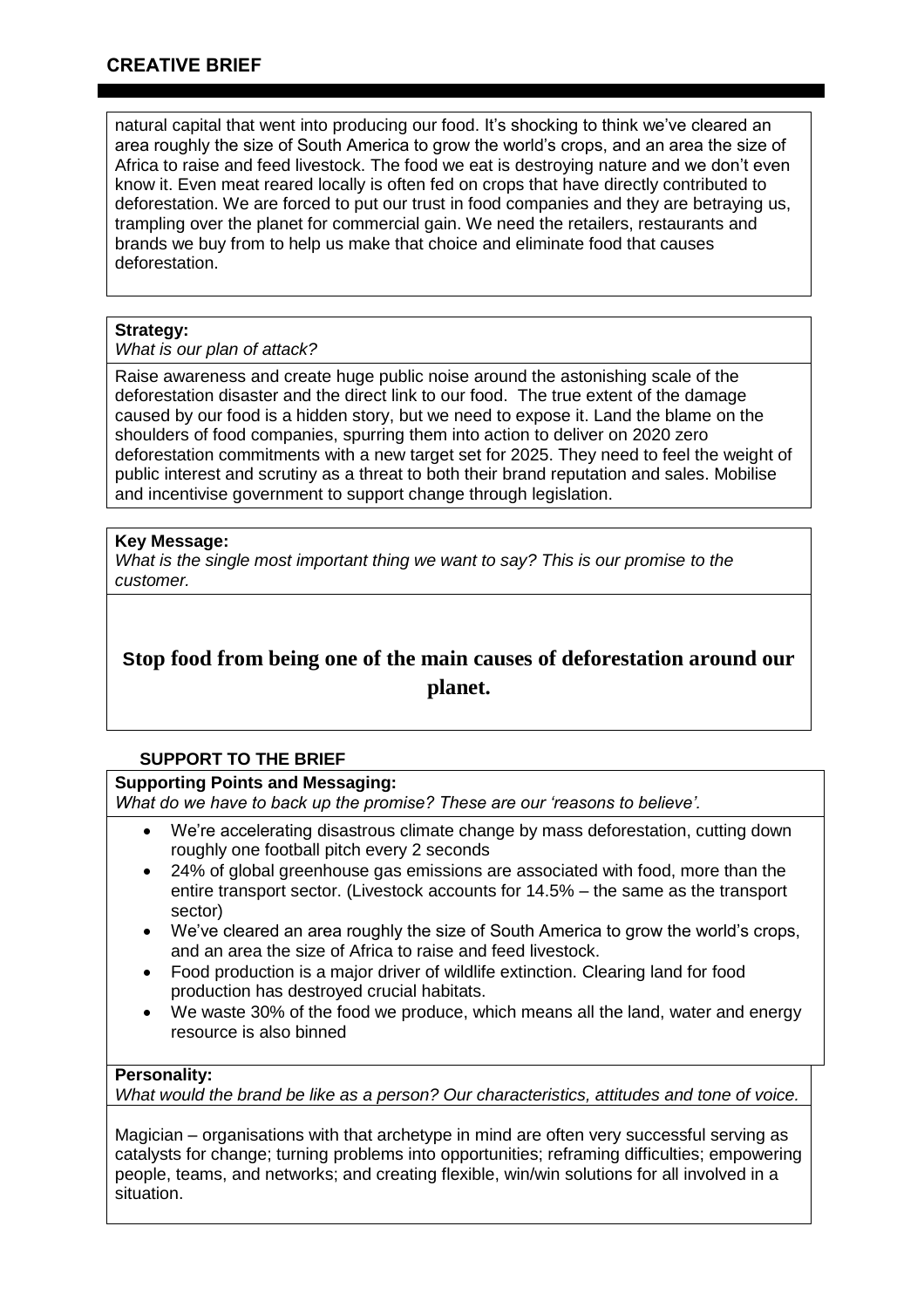natural capital that went into producing our food. It's shocking to think we've cleared an area roughly the size of South America to grow the world's crops, and an area the size of Africa to raise and feed livestock. The food we eat is destroying nature and we don't even know it. Even meat reared locally is often fed on crops that have directly contributed to deforestation. We are forced to put our trust in food companies and they are betraying us, trampling over the planet for commercial gain. We need the retailers, restaurants and brands we buy from to help us make that choice and eliminate food that causes deforestation.

## **Strategy:**

### *What is our plan of attack?*

Raise awareness and create huge public noise around the astonishing scale of the deforestation disaster and the direct link to our food. The true extent of the damage caused by our food is a hidden story, but we need to expose it. Land the blame on the shoulders of food companies, spurring them into action to deliver on 2020 zero deforestation commitments with a new target set for 2025. They need to feel the weight of public interest and scrutiny as a threat to both their brand reputation and sales. Mobilise and incentivise government to support change through legislation.

## **Key Message:**

*What is the single most important thing we want to say? This is our promise to the customer.*

# **Stop food from being one of the main causes of deforestation around our planet.**

# **SUPPORT TO THE BRIEF**

## **Supporting Points and Messaging:**

*What do we have to back up the promise? These are our 'reasons to believe'.*

- We're accelerating disastrous climate change by mass deforestation, cutting down roughly one football pitch every 2 seconds
- 24% of global greenhouse gas emissions are associated with food, more than the entire transport sector. (Livestock accounts for 14.5% – the same as the transport sector)
- We've cleared an area roughly the size of South America to grow the world's crops, and an area the size of Africa to raise and feed livestock.
- Food production is a major driver of wildlife extinction. Clearing land for food production has destroyed crucial habitats.
- We waste 30% of the food we produce, which means all the land, water and energy resource is also binned

## **Personality:**

*What would the brand be like as a person? Our characteristics, attitudes and tone of voice.*

Magician – organisations with that archetype in mind are often very successful serving as catalysts for change; turning problems into opportunities; reframing difficulties; empowering people, teams, and networks; and creating flexible, win/win solutions for all involved in a situation.